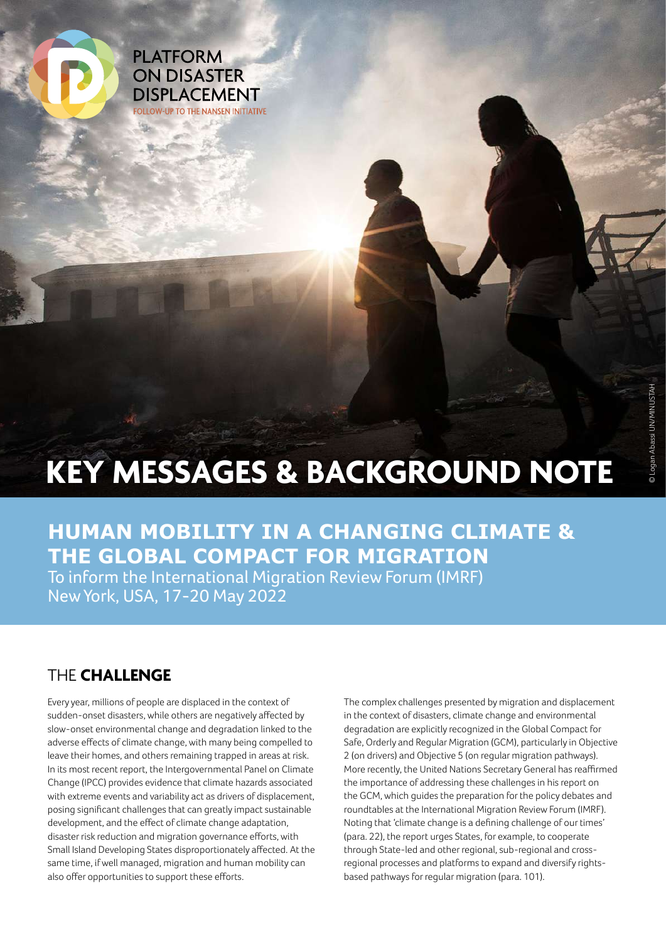

**PLATFORM ON DISASTER DISPLACEMENT FOLLOW-UP TO THE NANSEN INITIATIVE** 

# **KEY MESSAGES & BACKGROUND NOTE**

# **HUMAN MOBILITY IN A CHANGING CLIMATE & THE GLOBAL COMPACT FOR MIGRATION**

To inform the International Migration Review Forum (IMRF) New York, USA, 17-20 May 2022

# THE **CHALLENGE**

Every year, millions of people are displaced in the context of sudden-onset disasters, while others are negatively affected by slow-onset environmental change and degradation linked to the adverse effects of climate change, with many being compelled to leave their homes, and others remaining trapped in areas at risk. In its most recent report, the Intergovernmental Panel on Climate Change (IPCC) provides evidence that climate hazards associated with extreme events and variability act as drivers of displacement, posing significant challenges that can greatly impact sustainable development, and the effect of climate change adaptation, disaster risk reduction and migration governance efforts, with Small Island Developing States disproportionately affected. At the same time, if well managed, migration and human mobility can also offer opportunities to support these efforts.

The complex challenges presented by migration and displacement in the context of disasters, climate change and environmental degradation are explicitly recognized in the Global Compact for Safe, Orderly and Regular Migration (GCM), particularly in Objective 2 (on drivers) and Objective 5 (on regular migration pathways). More recently, the United Nations Secretary General has reaffirmed the importance of addressing these challenges in his report on the GCM, which guides the preparation for the policy debates and roundtables at the International Migration Review Forum (IMRF). Noting that 'climate change is a defining challenge of our times' (para. 22), the report urges States, for example, to cooperate through State-led and other regional, sub-regional and crossregional processes and platforms to expand and diversify rightsbased pathways for regular migration (para. 101).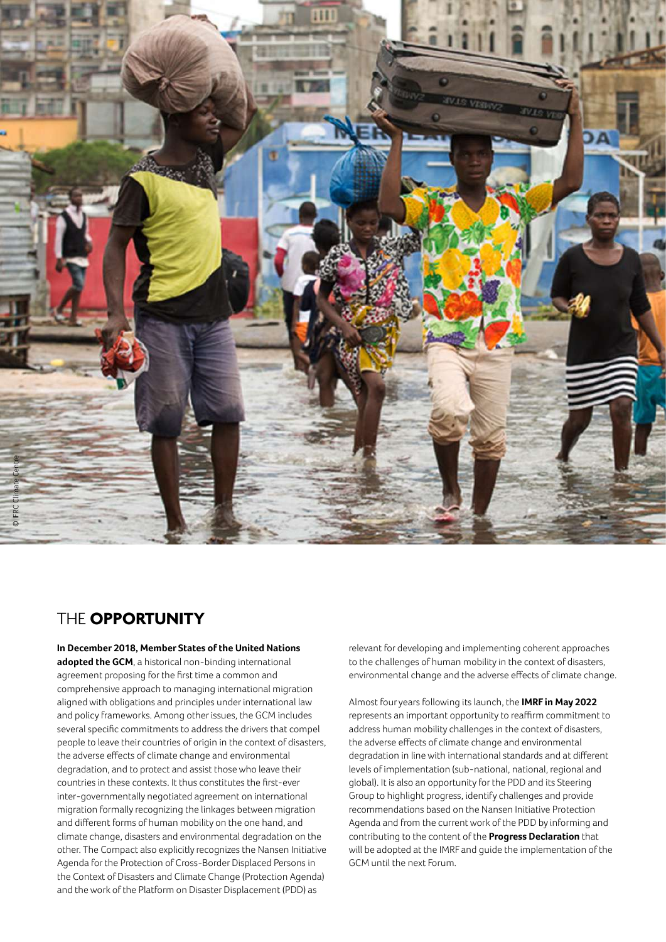

### THE **OPPORTUNITY**

#### **In December 2018, Member States of the United Nations**

**adopted the GCM**, a historical non-binding international agreement proposing for the first time a common and comprehensive approach to managing international migration aligned with obligations and principles under international law and policy frameworks. Among other issues, the GCM includes several specific commitments to address the drivers that compel people to leave their countries of origin in the context of disasters, the adverse effects of climate change and environmental degradation, and to protect and assist those who leave their countries in these contexts. It thus constitutes the first-ever inter-governmentally negotiated agreement on international migration formally recognizing the linkages between migration and different forms of human mobility on the one hand, and climate change, disasters and environmental degradation on the other. The Compact also explicitly recognizes the Nansen Initiative Agenda for the Protection of Cross-Border Displaced Persons in the Context of Disasters and Climate Change (Protection Agenda) and the work of the Platform on Disaster Displacement (PDD) as

relevant for developing and implementing coherent approaches to the challenges of human mobility in the context of disasters, environmental change and the adverse effects of climate change.

Almost four years following its launch, the **IMRF in May 2022** represents an important opportunity to reaffirm commitment to address human mobility challenges in the context of disasters, the adverse effects of climate change and environmental degradation in line with international standards and at different levels of implementation (sub-national, national, regional and global). It is also an opportunity for the PDD and its Steering Group to highlight progress, identify challenges and provide recommendations based on the Nansen Initiative Protection Agenda and from the current work of the PDD by informing and contributing to the content of the **Progress Declaration** that will be adopted at the IMRF and guide the implementation of the GCM until the next Forum.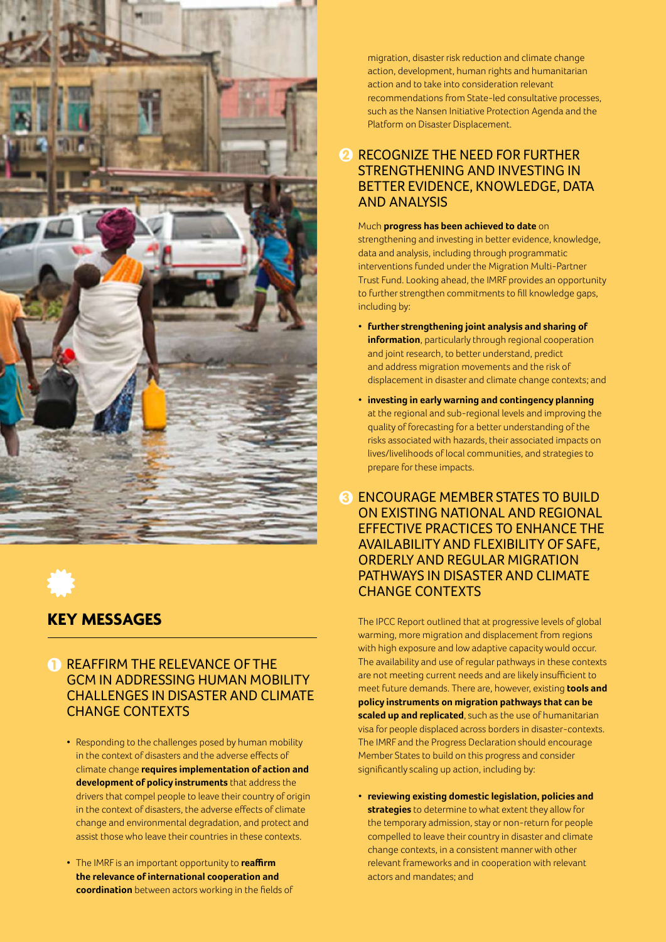



## **KEY MESSAGES**

#### **1 REAFFIRM THE RELEVANCE OF THE** GCM IN ADDRESSING HUMAN MOBILITY CHALLENGES IN DISASTER AND CLIMATE CHANGE CONTEXTS

- Responding to the challenges posed by human mobility in the context of disasters and the adverse effects of climate change **requires implementation of action and development of policy instruments** that address the drivers that compel people to leave their country of origin in the context of disasters, the adverse effects of climate change and environmental degradation, and protect and assist those who leave their countries in these contexts.
- The IMRF is an important opportunity to **reaffirm the relevance of international cooperation and coordination** between actors working in the fields of

migration, disaster risk reduction and climate change action, development, human rights and humanitarian action and to take into consideration relevant recommendations from State-led consultative processes, such as the Nansen Initiative Protection Agenda and the Platform on Disaster Displacement.

#### **2 RECOGNIZE THE NEED FOR FURTHER** STRENGTHENING AND INVESTING IN BETTER EVIDENCE, KNOWLEDGE, DATA AND ANALYSIS

#### Much **progress has been achieved to date** on

strengthening and investing in better evidence, knowledge, data and analysis, including through programmatic interventions funded under the Migration Multi-Partner Trust Fund. Looking ahead, the IMRF provides an opportunity to further strengthen commitments to fill knowledge gaps, including by:

- **further strengthening joint analysis and sharing of information**, particularly through regional cooperation and joint research, to better understand, predict and address migration movements and the risk of displacement in disaster and climate change contexts; and
- **investing in early warning and contingency planning**  at the regional and sub-regional levels and improving the quality of forecasting for a better understanding of the risks associated with hazards, their associated impacts on lives/livelihoods of local communities, and strategies to prepare for these impacts.
- **3 ENCOURAGE MEMBER STATES TO BUILD** ON EXISTING NATIONAL AND REGIONAL EFFECTIVE PRACTICES TO ENHANCE THE AVAILABILITY AND FLEXIBILITY OF SAFE, ORDERLY AND REGULAR MIGRATION PATHWAYS IN DISASTER AND CLIMATE CHANGE CONTEXTS

The IPCC Report outlined that at progressive levels of global warming, more migration and displacement from regions with high exposure and low adaptive capacity would occur. The availability and use of regular pathways in these contexts are not meeting current needs and are likely insufficient to meet future demands. There are, however, existing **tools and policy instruments on migration pathways that can be scaled up and replicated**, such as the use of humanitarian visa for people displaced across borders in disaster-contexts. The IMRF and the Progress Declaration should encourage Member States to build on this progress and consider significantly scaling up action, including by:

• **reviewing existing domestic legislation, policies and strategies** to determine to what extent they allow for the temporary admission, stay or non-return for people compelled to leave their country in disaster and climate change contexts, in a consistent manner with other relevant frameworks and in cooperation with relevant actors and mandates; and